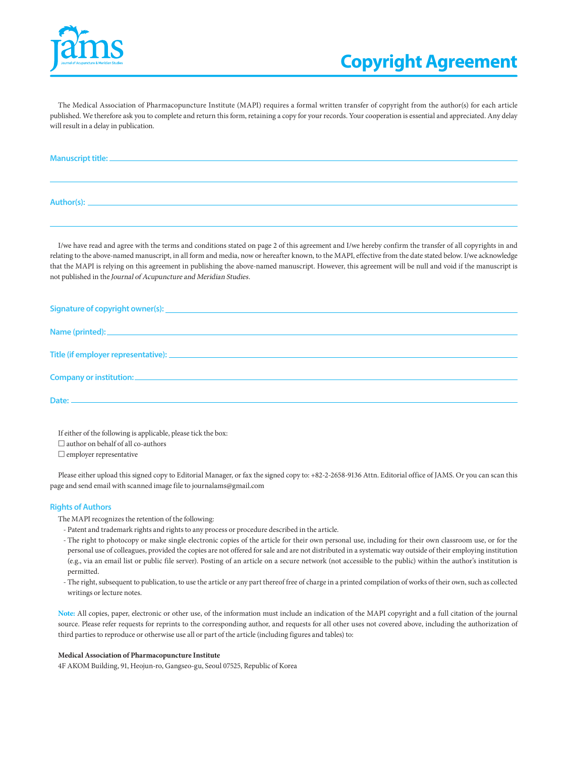

The Medical Association of Pharmacopuncture Institute (MAPI) requires a formal written transfer of copyright from the author(s) for each article published. We therefore ask you to complete and return this form, retaining a copy for your records. Your cooperation is essential and appreciated. Any delay will result in a delay in publication.

| Manuscript title: _ |  |  |
|---------------------|--|--|
|                     |  |  |
|                     |  |  |
| Author(s):          |  |  |

I/we have read and agree with the terms and conditions stated on page 2 of this agreement and I/we hereby confirm the transfer of all copyrights in and relating to the above-named manuscript, in all form and media, now or hereafter known, to the MAPI, effective from the date stated below. I/we acknowledge that the MAPI is relying on this agreement in publishing the above-named manuscript. However, this agreement will be null and void if the manuscript is not published in the Journal of Acupuncture and Meridian Studies.

If either of the following is applicable, please tick the box:  $\Box$  author on behalf of all co-authors □ employer representative

Please either upload this signed copy to Editorial Manager, or fax the signed copy to: +82-2-2658-9136 Attn. Editorial office of JAMS. Or you can scan this page and send email with scanned image file to journalams@gmail.com

## **Rights of Authors**

The MAPI recognizes the retention of the following:

- Patent and trademark rights and rights to any process or procedure described in the article.
- The right to photocopy or make single electronic copies of the article for their own personal use, including for their own classroom use, or for the personal use of colleagues, provided the copies are not offered for sale and are not distributed in a systematic way outside of their employing institution (e.g., via an email list or public file server). Posting of an article on a secure network (not accessible to the public) within the author's institution is permitted.
- The right, subsequent to publication, to use the article or any part thereof free of charge in a printed compilation of works of their own, such as collected writings or lecture notes.

**Note:** All copies, paper, electronic or other use, of the information must include an indication of the MAPI copyright and a full citation of the journal source. Please refer requests for reprints to the corresponding author, and requests for all other uses not covered above, including the authorization of third parties to reproduce or otherwise use all or part of the article (including figures and tables) to:

## **Medical Association of Pharmacopuncture Institute**

4F AKOM Building, 91, Heojun-ro, Gangseo-gu, Seoul 07525, Republic of Korea